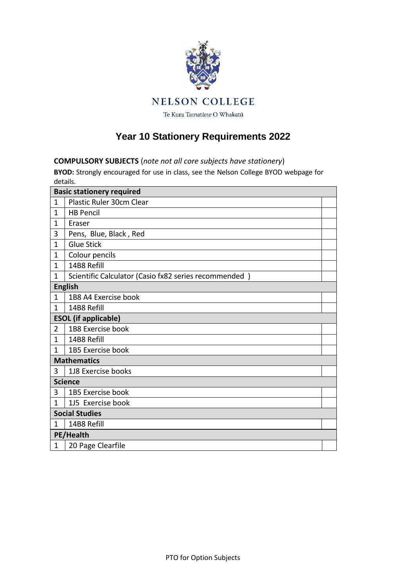

## **Year 10 Stationery Requirements 2022**

## **COMPULSORY SUBJECTS** (*note not all core subjects have stationery*)

**BYOD:** Strongly encouraged for use in class, see the Nelson College BYOD webpage for details.

| <b>Basic stationery required</b> |                                                       |  |  |  |
|----------------------------------|-------------------------------------------------------|--|--|--|
| $\mathbf{1}$                     | Plastic Ruler 30cm Clear                              |  |  |  |
| 1                                | <b>HB Pencil</b>                                      |  |  |  |
| 1                                | Eraser                                                |  |  |  |
| 3                                | Pens, Blue, Black, Red                                |  |  |  |
| $\mathbf 1$                      | <b>Glue Stick</b>                                     |  |  |  |
| 1                                | Colour pencils                                        |  |  |  |
| 1                                | 14B8 Refill                                           |  |  |  |
| 1                                | Scientific Calculator (Casio fx82 series recommended) |  |  |  |
| <b>English</b>                   |                                                       |  |  |  |
| 1                                | 1B8 A4 Exercise book                                  |  |  |  |
| $\mathbf{1}$                     | 14B8 Refill                                           |  |  |  |
| <b>ESOL</b> (if applicable)      |                                                       |  |  |  |
| 2                                | 1B8 Exercise book                                     |  |  |  |
| 1                                | 14B8 Refill                                           |  |  |  |
| 1                                | 1B5 Exercise book                                     |  |  |  |
| <b>Mathematics</b>               |                                                       |  |  |  |
| 3                                | 1J8 Exercise books                                    |  |  |  |
| <b>Science</b>                   |                                                       |  |  |  |
| 3                                | 1B5 Exercise book                                     |  |  |  |
| 1                                | 1J5 Exercise book                                     |  |  |  |
|                                  | <b>Social Studies</b>                                 |  |  |  |
| 1                                | 14B8 Refill                                           |  |  |  |
| PE/Health                        |                                                       |  |  |  |
| $\mathbf{1}$                     | 20 Page Clearfile                                     |  |  |  |